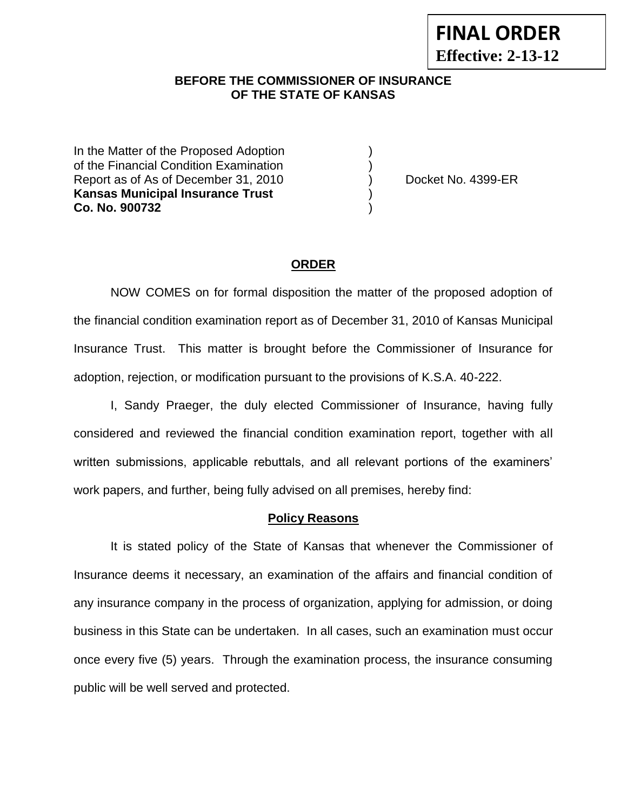### **BEFORE THE COMMISSIONER OF INSURANCE OF THE STATE OF KANSAS**

In the Matter of the Proposed Adoption of the Financial Condition Examination ) Report as of As of December 31, 2010 (a) Docket No. 4399-ER **Kansas Municipal Insurance Trust** ) **Co. No. 900732** )

#### **ORDER**

NOW COMES on for formal disposition the matter of the proposed adoption of the financial condition examination report as of December 31, 2010 of Kansas Municipal Insurance Trust. This matter is brought before the Commissioner of Insurance for adoption, rejection, or modification pursuant to the provisions of K.S.A. 40-222.

I, Sandy Praeger, the duly elected Commissioner of Insurance, having fully considered and reviewed the financial condition examination report, together with all written submissions, applicable rebuttals, and all relevant portions of the examiners' work papers, and further, being fully advised on all premises, hereby find:

#### **Policy Reasons**

It is stated policy of the State of Kansas that whenever the Commissioner of Insurance deems it necessary, an examination of the affairs and financial condition of any insurance company in the process of organization, applying for admission, or doing business in this State can be undertaken. In all cases, such an examination must occur once every five (5) years. Through the examination process, the insurance consuming public will be well served and protected.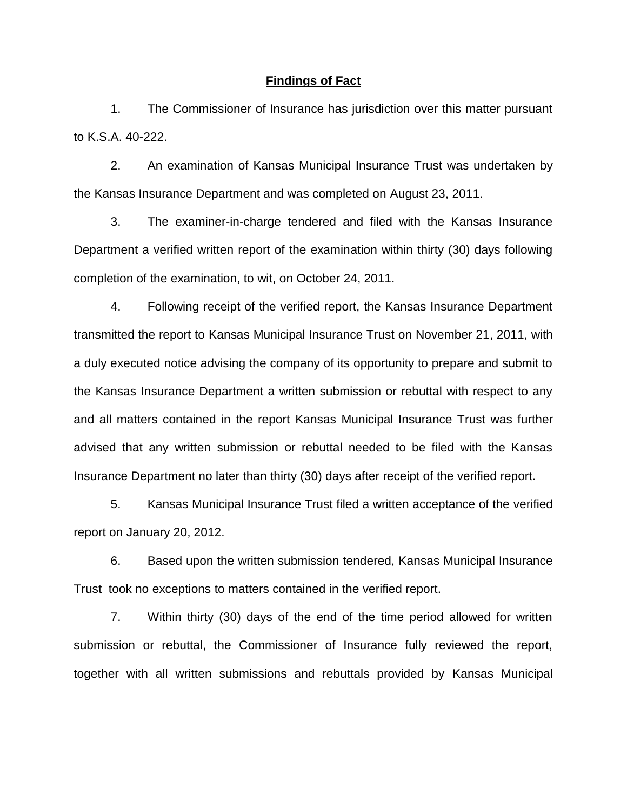#### **Findings of Fact**

1. The Commissioner of Insurance has jurisdiction over this matter pursuant to K.S.A. 40-222.

2. An examination of Kansas Municipal Insurance Trust was undertaken by the Kansas Insurance Department and was completed on August 23, 2011.

3. The examiner-in-charge tendered and filed with the Kansas Insurance Department a verified written report of the examination within thirty (30) days following completion of the examination, to wit, on October 24, 2011.

4. Following receipt of the verified report, the Kansas Insurance Department transmitted the report to Kansas Municipal Insurance Trust on November 21, 2011, with a duly executed notice advising the company of its opportunity to prepare and submit to the Kansas Insurance Department a written submission or rebuttal with respect to any and all matters contained in the report Kansas Municipal Insurance Trust was further advised that any written submission or rebuttal needed to be filed with the Kansas Insurance Department no later than thirty (30) days after receipt of the verified report.

5. Kansas Municipal Insurance Trust filed a written acceptance of the verified report on January 20, 2012.

6. Based upon the written submission tendered, Kansas Municipal Insurance Trust took no exceptions to matters contained in the verified report.

7. Within thirty (30) days of the end of the time period allowed for written submission or rebuttal, the Commissioner of Insurance fully reviewed the report, together with all written submissions and rebuttals provided by Kansas Municipal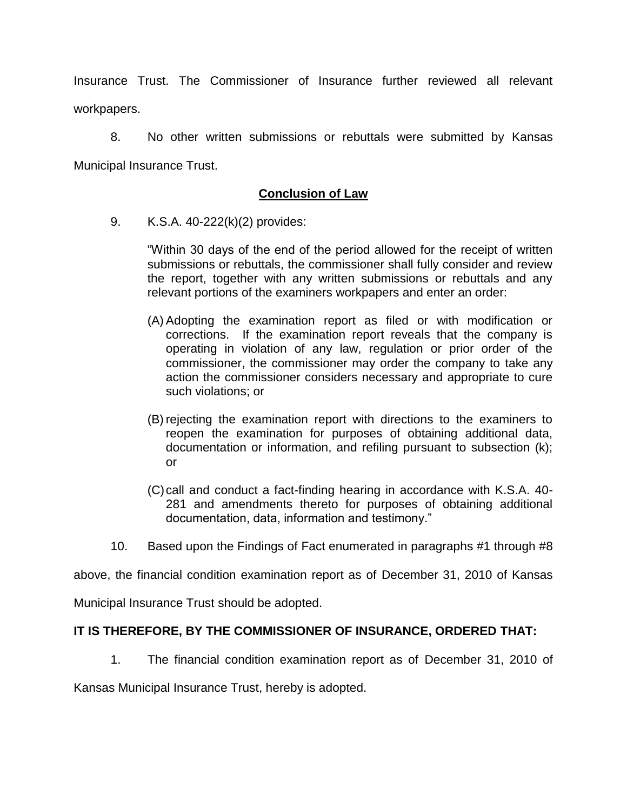Insurance Trust. The Commissioner of Insurance further reviewed all relevant workpapers.

8. No other written submissions or rebuttals were submitted by Kansas Municipal Insurance Trust.

# **Conclusion of Law**

9. K.S.A. 40-222(k)(2) provides:

"Within 30 days of the end of the period allowed for the receipt of written submissions or rebuttals, the commissioner shall fully consider and review the report, together with any written submissions or rebuttals and any relevant portions of the examiners workpapers and enter an order:

- (A) Adopting the examination report as filed or with modification or corrections. If the examination report reveals that the company is operating in violation of any law, regulation or prior order of the commissioner, the commissioner may order the company to take any action the commissioner considers necessary and appropriate to cure such violations; or
- (B) rejecting the examination report with directions to the examiners to reopen the examination for purposes of obtaining additional data, documentation or information, and refiling pursuant to subsection (k); or
- (C)call and conduct a fact-finding hearing in accordance with K.S.A. 40- 281 and amendments thereto for purposes of obtaining additional documentation, data, information and testimony."
- 10. Based upon the Findings of Fact enumerated in paragraphs #1 through #8

above, the financial condition examination report as of December 31, 2010 of Kansas

Municipal Insurance Trust should be adopted.

### **IT IS THEREFORE, BY THE COMMISSIONER OF INSURANCE, ORDERED THAT:**

1. The financial condition examination report as of December 31, 2010 of

Kansas Municipal Insurance Trust, hereby is adopted.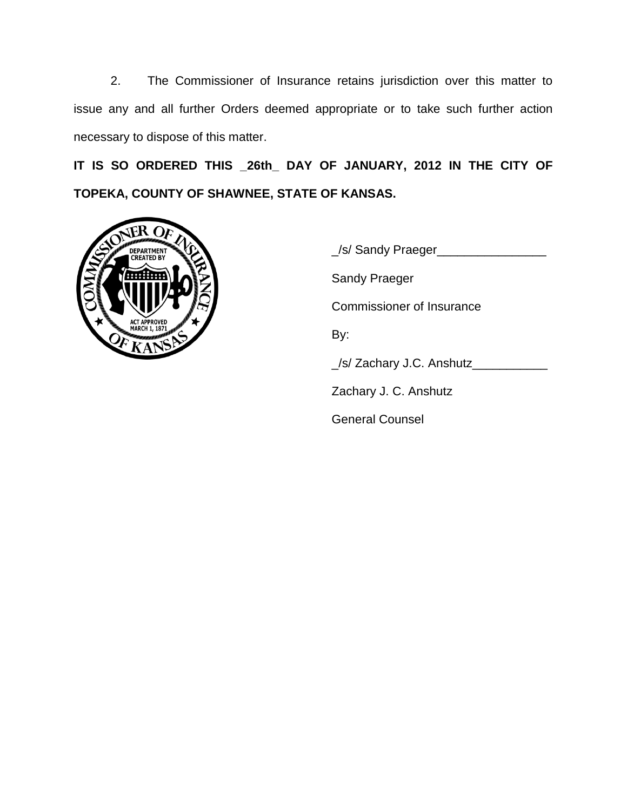2. The Commissioner of Insurance retains jurisdiction over this matter to issue any and all further Orders deemed appropriate or to take such further action necessary to dispose of this matter.

**IT IS SO ORDERED THIS \_26th\_ DAY OF JANUARY, 2012 IN THE CITY OF TOPEKA, COUNTY OF SHAWNEE, STATE OF KANSAS.**



\_/s/ Sandy Praeger\_\_\_\_\_\_\_\_\_\_\_\_\_\_\_\_ Sandy Praeger Commissioner of Insurance By: \_/s/ Zachary J.C. Anshutz\_\_\_\_\_\_\_\_\_\_\_ Zachary J. C. Anshutz General Counsel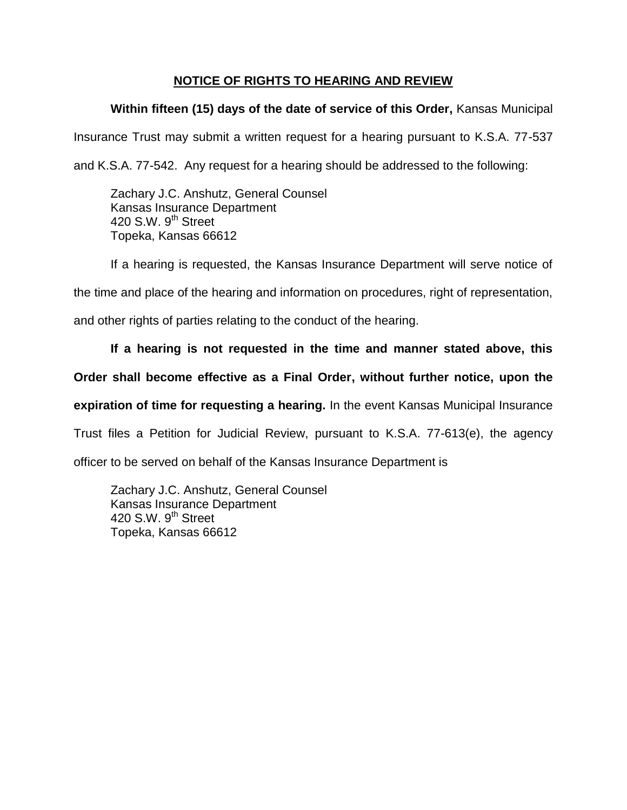# **NOTICE OF RIGHTS TO HEARING AND REVIEW**

# **Within fifteen (15) days of the date of service of this Order,** Kansas Municipal

Insurance Trust may submit a written request for a hearing pursuant to K.S.A. 77-537

and K.S.A. 77-542. Any request for a hearing should be addressed to the following:

Zachary J.C. Anshutz, General Counsel Kansas Insurance Department 420 S.W. 9<sup>th</sup> Street Topeka, Kansas 66612

If a hearing is requested, the Kansas Insurance Department will serve notice of

the time and place of the hearing and information on procedures, right of representation,

and other rights of parties relating to the conduct of the hearing.

### **If a hearing is not requested in the time and manner stated above, this**

## **Order shall become effective as a Final Order, without further notice, upon the**

**expiration of time for requesting a hearing.** In the event Kansas Municipal Insurance

Trust files a Petition for Judicial Review, pursuant to K.S.A. 77-613(e), the agency

officer to be served on behalf of the Kansas Insurance Department is

Zachary J.C. Anshutz, General Counsel Kansas Insurance Department 420 S.W.  $9<sup>th</sup>$  Street Topeka, Kansas 66612